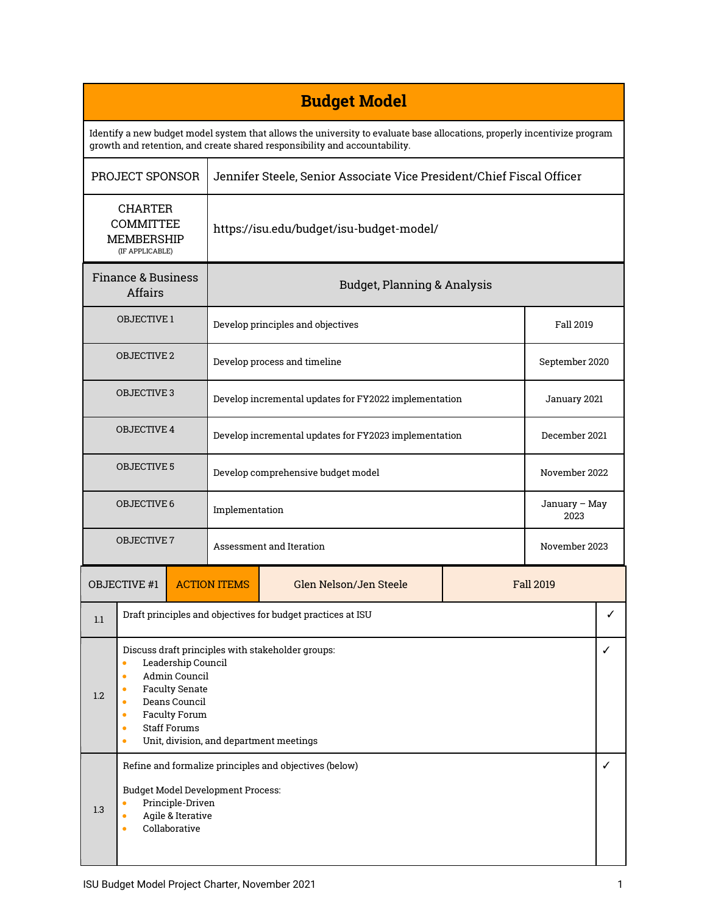| <b>Budget Model</b>                                                                                                                                                                                    |                                                                                                                                                                                                                                                                                            |                     |                                                                       |                  |               |                |               |  |
|--------------------------------------------------------------------------------------------------------------------------------------------------------------------------------------------------------|--------------------------------------------------------------------------------------------------------------------------------------------------------------------------------------------------------------------------------------------------------------------------------------------|---------------------|-----------------------------------------------------------------------|------------------|---------------|----------------|---------------|--|
| Identify a new budget model system that allows the university to evaluate base allocations, properly incentivize program<br>growth and retention, and create shared responsibility and accountability. |                                                                                                                                                                                                                                                                                            |                     |                                                                       |                  |               |                |               |  |
| PROJECT SPONSOR                                                                                                                                                                                        |                                                                                                                                                                                                                                                                                            |                     | Jennifer Steele, Senior Associate Vice President/Chief Fiscal Officer |                  |               |                |               |  |
| <b>CHARTER</b><br>COMMITTEE<br><b>MEMBERSHIP</b><br>(IF APPLICABLE)                                                                                                                                    |                                                                                                                                                                                                                                                                                            |                     | https://isu.edu/budget/isu-budget-model/                              |                  |               |                |               |  |
| <b>Finance &amp; Business</b><br><b>Affairs</b>                                                                                                                                                        |                                                                                                                                                                                                                                                                                            |                     | <b>Budget, Planning &amp; Analysis</b>                                |                  |               |                |               |  |
| <b>OBJECTIVE 1</b>                                                                                                                                                                                     |                                                                                                                                                                                                                                                                                            |                     | Develop principles and objectives                                     |                  |               | Fall 2019      |               |  |
| <b>OBJECTIVE 2</b>                                                                                                                                                                                     |                                                                                                                                                                                                                                                                                            |                     | Develop process and timeline                                          |                  |               | September 2020 |               |  |
| <b>OBJECTIVE 3</b>                                                                                                                                                                                     |                                                                                                                                                                                                                                                                                            |                     | Develop incremental updates for FY2022 implementation                 |                  |               | January 2021   |               |  |
| <b>OBJECTIVE 4</b>                                                                                                                                                                                     |                                                                                                                                                                                                                                                                                            |                     | Develop incremental updates for FY2023 implementation                 |                  |               | December 2021  |               |  |
| <b>OBJECTIVE 5</b>                                                                                                                                                                                     |                                                                                                                                                                                                                                                                                            |                     | Develop comprehensive budget model                                    |                  |               | November 2022  |               |  |
| <b>OBJECTIVE 6</b>                                                                                                                                                                                     |                                                                                                                                                                                                                                                                                            |                     | Implementation                                                        |                  |               | 2023           | January - May |  |
| <b>OBJECTIVE 7</b>                                                                                                                                                                                     |                                                                                                                                                                                                                                                                                            |                     | Assessment and Iteration                                              |                  | November 2023 |                |               |  |
| <b>OBJECTIVE #1</b>                                                                                                                                                                                    |                                                                                                                                                                                                                                                                                            | <b>ACTION ITEMS</b> | Glen Nelson/Jen Steele                                                | <b>Fall 2019</b> |               |                |               |  |
| 1.1                                                                                                                                                                                                    | Draft principles and objectives for budget practices at ISU                                                                                                                                                                                                                                |                     |                                                                       |                  |               |                | ✓             |  |
| 1.2                                                                                                                                                                                                    | Discuss draft principles with stakeholder groups:<br>Leadership Council<br>$\bullet$<br>Admin Council<br>$\bullet$<br><b>Faculty Senate</b><br>Deans Council<br>$\bullet$<br><b>Faculty Forum</b><br>۰<br><b>Staff Forums</b><br>$\bullet$<br>Unit, division, and department meetings<br>۰ |                     |                                                                       |                  |               | ✓              |               |  |
| 1.3                                                                                                                                                                                                    | Refine and formalize principles and objectives (below)<br><b>Budget Model Development Process:</b><br>Principle-Driven<br>Agile & Iterative<br>$\bullet$<br>Collaborative<br>$\bullet$                                                                                                     |                     |                                                                       |                  |               |                |               |  |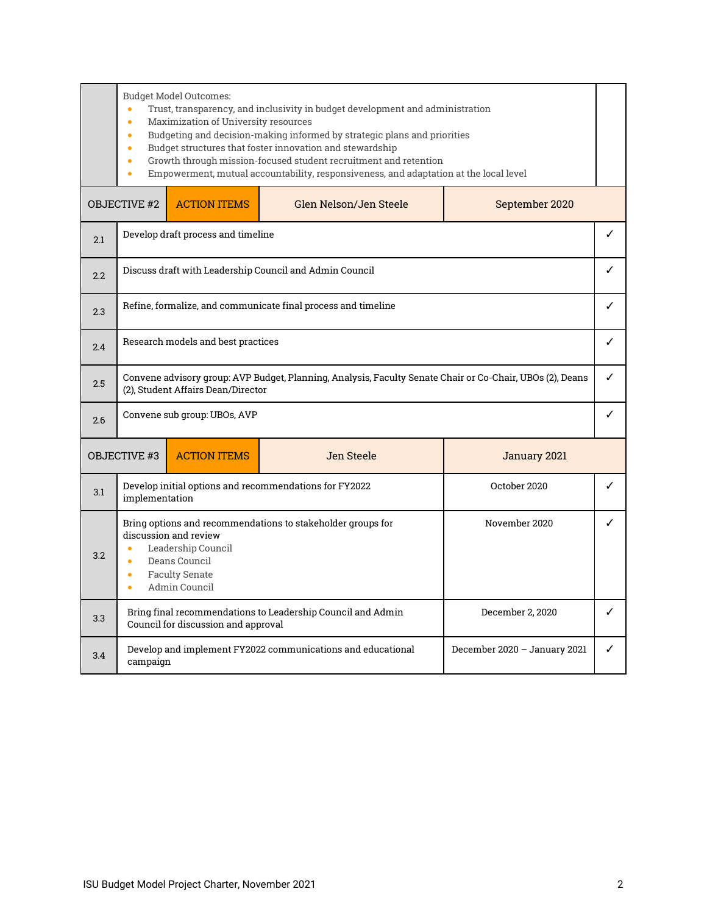Budget Model Outcomes: • Trust, transparency, and inclusivity in budget development and administration • Maximization of University resources • Budgeting and decision-making informed by strategic plans and priorities • Budget structures that foster innovation and stewardship • Growth through mission-focused student recruitment and retention • Empowerment, mutual accountability, responsiveness, and adaptation at the local level OBJECTIVE #2 ACTION ITEMS Glen Nelson/Jen Steele September 2020  $\overline{2.1}$  Develop draft process and timeline  $\checkmark$  $2.2$  Discuss draft with Leadership Council and Admin Council  $\checkmark$  $\overline{2.3}$  Refine, formalize, and communicate final process and timeline  $\checkmark$  $2.4$  Research models and best practices  $\sqrt{2}$ 2.5 Convene advisory group: AVP Budget, Planning, Analysis, Faculty Senate Chair or Co-Chair, UBOs (2), Deans (2), Student Affairs Dean/Director ✓  $2.6$  Convene sub group: UBOs, AVP  $\sim$ OBJECTIVE #3 ACTION ITEMS Jen Steele Jen Steele January 2021 3.1 Develop initial options and recommendations for FY2022 implementation October 2020  $\vert \cdot \vert$ 3.2 Bring options and recommendations to stakeholder groups for discussion and review • Leadership Council • Deans Council • Faculty Senate • Admin Council November 2020 **Ⅰ √** 3.3 Bring final recommendations to Leadership Council and Admin Council for discussion and approval December 2, 2020 **Ⅰ ✓** 3.4 Develop and implement FY2022 communications and educational campaign December 2020 – January 2021  $\vert \checkmark$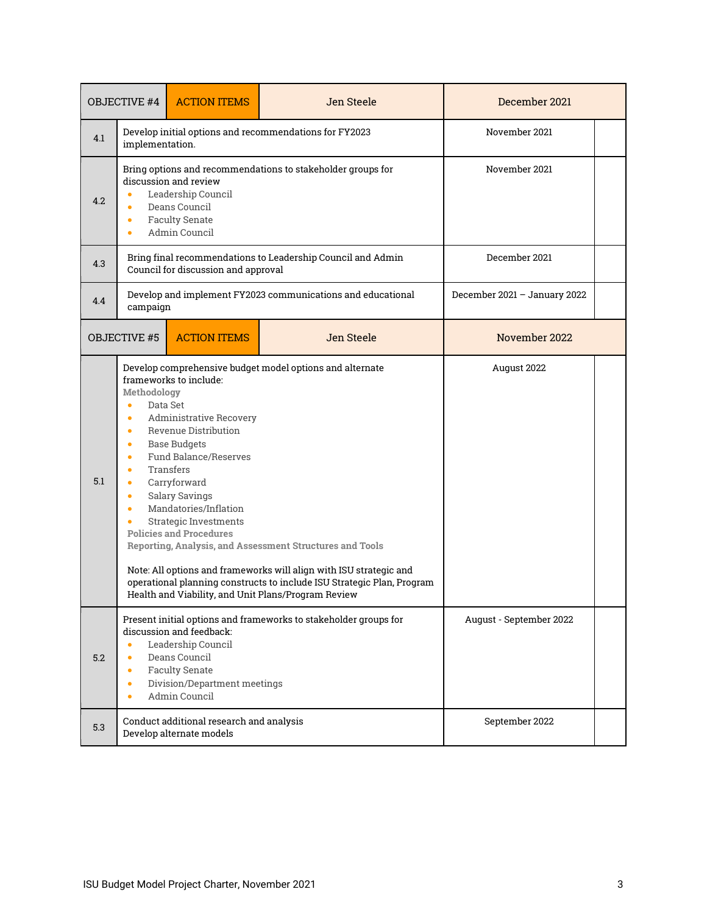| <b>OBJECTIVE #4</b> |                                                                                                                          | <b>ACTION ITEMS</b>                                                                                                                                                                                                                                                                                                                                                                                                                                                                                                                                                                                                                        | Jen Steele              | December 2021 |  |  |
|---------------------|--------------------------------------------------------------------------------------------------------------------------|--------------------------------------------------------------------------------------------------------------------------------------------------------------------------------------------------------------------------------------------------------------------------------------------------------------------------------------------------------------------------------------------------------------------------------------------------------------------------------------------------------------------------------------------------------------------------------------------------------------------------------------------|-------------------------|---------------|--|--|
| 4.1                 | implementation.                                                                                                          | Develop initial options and recommendations for FY2023                                                                                                                                                                                                                                                                                                                                                                                                                                                                                                                                                                                     | November 2021           |               |  |  |
| 4.2                 | $\bullet$<br>$\bullet$                                                                                                   | Bring options and recommendations to stakeholder groups for<br>discussion and review<br>Leadership Council<br>Deans Council<br><b>Faculty Senate</b><br>Admin Council                                                                                                                                                                                                                                                                                                                                                                                                                                                                      | November 2021           |               |  |  |
| 4.3                 |                                                                                                                          | Bring final recommendations to Leadership Council and Admin<br>Council for discussion and approval                                                                                                                                                                                                                                                                                                                                                                                                                                                                                                                                         | December 2021           |               |  |  |
| 4.4                 | Develop and implement FY2023 communications and educational<br>December 2021 - January 2022<br>campaign                  |                                                                                                                                                                                                                                                                                                                                                                                                                                                                                                                                                                                                                                            |                         |               |  |  |
|                     | <b>ACTION ITEMS</b><br>Jen Steele<br><b>OBJECTIVE #5</b>                                                                 |                                                                                                                                                                                                                                                                                                                                                                                                                                                                                                                                                                                                                                            | November 2022           |               |  |  |
| 5.1                 | Methodology<br>$\bullet$<br>$\bullet$<br>$\bullet$<br>$\bullet$<br>۰<br>$\bullet$<br>$\bullet$<br>$\bullet$<br>$\bullet$ | Develop comprehensive budget model options and alternate<br>frameworks to include:<br>Data Set<br><b>Administrative Recovery</b><br>Revenue Distribution<br><b>Base Budgets</b><br><b>Fund Balance/Reserves</b><br><b>Transfers</b><br>Carryforward<br><b>Salary Savings</b><br>Mandatories/Inflation<br><b>Strategic Investments</b><br><b>Policies and Procedures</b><br>Reporting, Analysis, and Assessment Structures and Tools<br>Note: All options and frameworks will align with ISU strategic and<br>operational planning constructs to include ISU Strategic Plan, Program<br>Health and Viability, and Unit Plans/Program Review | August 2022             |               |  |  |
| 5.2                 | $\bullet$<br>$\bullet$<br>$\bullet$<br>$\bullet$<br>$\bullet$                                                            | Present initial options and frameworks to stakeholder groups for<br>discussion and feedback:<br>Leadership Council<br>Deans Council<br><b>Faculty Senate</b><br>Division/Department meetings<br>Admin Council                                                                                                                                                                                                                                                                                                                                                                                                                              | August - September 2022 |               |  |  |
| 5.3                 |                                                                                                                          | Conduct additional research and analysis<br>Develop alternate models                                                                                                                                                                                                                                                                                                                                                                                                                                                                                                                                                                       | September 2022          |               |  |  |